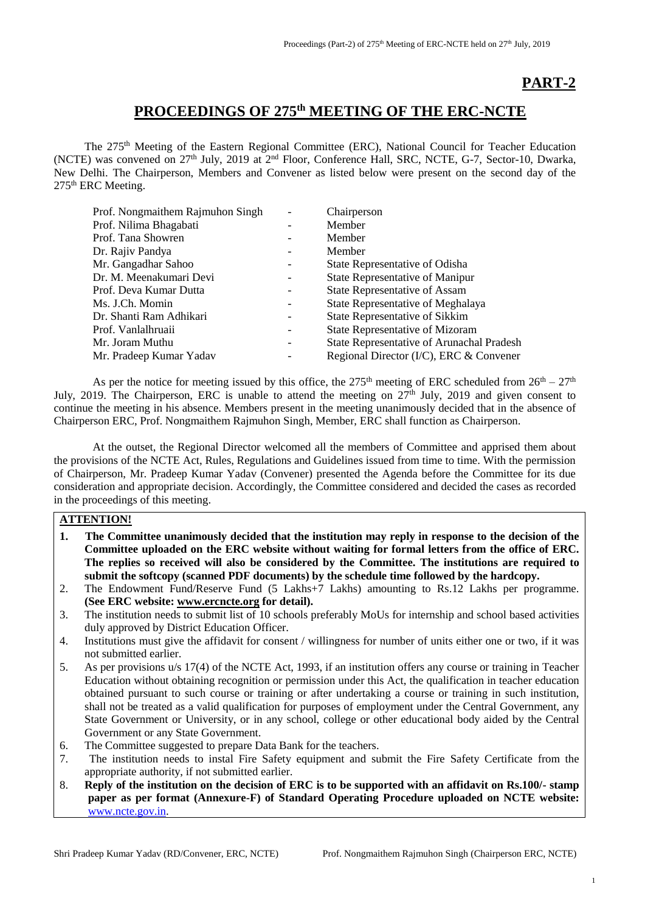## **PART-2**

## **PROCEEDINGS OF 275 th MEETING OF THE ERC-NCTE**

The 275<sup>th</sup> Meeting of the Eastern Regional Committee (ERC), National Council for Teacher Education (NCTE) was convened on 27<sup>th</sup> July, 2019 at 2<sup>nd</sup> Floor, Conference Hall, SRC, NCTE, G-7, Sector-10, Dwarka, New Delhi. The Chairperson, Members and Convener as listed below were present on the second day of the 275<sup>th</sup> ERC Meeting.

| Prof. Nongmaithem Rajmuhon Singh |                          | Chairperson                                      |
|----------------------------------|--------------------------|--------------------------------------------------|
| Prof. Nilima Bhagabati           |                          | Member                                           |
| Prof. Tana Showren               |                          | Member                                           |
| Dr. Rajiv Pandya                 |                          | Member                                           |
| Mr. Gangadhar Sahoo              | -                        | State Representative of Odisha                   |
| Dr. M. Meenakumari Devi          |                          | <b>State Representative of Manipur</b>           |
| Prof. Deva Kumar Dutta           |                          | <b>State Representative of Assam</b>             |
| Ms. J.Ch. Momin                  | $\overline{\phantom{a}}$ | State Representative of Meghalaya                |
| Dr. Shanti Ram Adhikari          | -                        | State Representative of Sikkim                   |
| Prof. Vanlalhruaii               | $\qquad \qquad$          | <b>State Representative of Mizoram</b>           |
| Mr. Joram Muthu                  |                          | <b>State Representative of Arunachal Pradesh</b> |
| Mr. Pradeep Kumar Yadav          |                          | Regional Director (I/C), ERC & Convener          |

As per the notice for meeting issued by this office, the 275<sup>th</sup> meeting of ERC scheduled from  $26<sup>th</sup> - 27<sup>th</sup>$ July, 2019. The Chairperson, ERC is unable to attend the meeting on  $27<sup>th</sup>$  July, 2019 and given consent to continue the meeting in his absence. Members present in the meeting unanimously decided that in the absence of Chairperson ERC, Prof. Nongmaithem Rajmuhon Singh, Member, ERC shall function as Chairperson.

At the outset, the Regional Director welcomed all the members of Committee and apprised them about the provisions of the NCTE Act, Rules, Regulations and Guidelines issued from time to time. With the permission of Chairperson, Mr. Pradeep Kumar Yadav (Convener) presented the Agenda before the Committee for its due consideration and appropriate decision. Accordingly, the Committee considered and decided the cases as recorded in the proceedings of this meeting.

## **ATTENTION!**

- **1. The Committee unanimously decided that the institution may reply in response to the decision of the Committee uploaded on the ERC website without waiting for formal letters from the office of ERC. The replies so received will also be considered by the Committee. The institutions are required to submit the softcopy (scanned PDF documents) by the schedule time followed by the hardcopy.**
- 2. The Endowment Fund/Reserve Fund (5 Lakhs+7 Lakhs) amounting to Rs.12 Lakhs per programme. **(See ERC website[: www.ercncte.org](http://www.ercncte.org/) for detail).**
- 3. The institution needs to submit list of 10 schools preferably MoUs for internship and school based activities duly approved by District Education Officer.
- 4. Institutions must give the affidavit for consent / willingness for number of units either one or two, if it was not submitted earlier.
- 5. As per provisions u/s 17(4) of the NCTE Act, 1993, if an institution offers any course or training in Teacher Education without obtaining recognition or permission under this Act, the qualification in teacher education obtained pursuant to such course or training or after undertaking a course or training in such institution, shall not be treated as a valid qualification for purposes of employment under the Central Government, any State Government or University, or in any school, college or other educational body aided by the Central Government or any State Government.
- 6. The Committee suggested to prepare Data Bank for the teachers.
- 7. The institution needs to instal Fire Safety equipment and submit the Fire Safety Certificate from the appropriate authority, if not submitted earlier.
- 8. **Reply of the institution on the decision of ERC is to be supported with an affidavit on Rs.100/- stamp paper as per format (Annexure-F) of Standard Operating Procedure uploaded on NCTE website:** [www.ncte.gov.in.](http://www.ncte.gov.in/)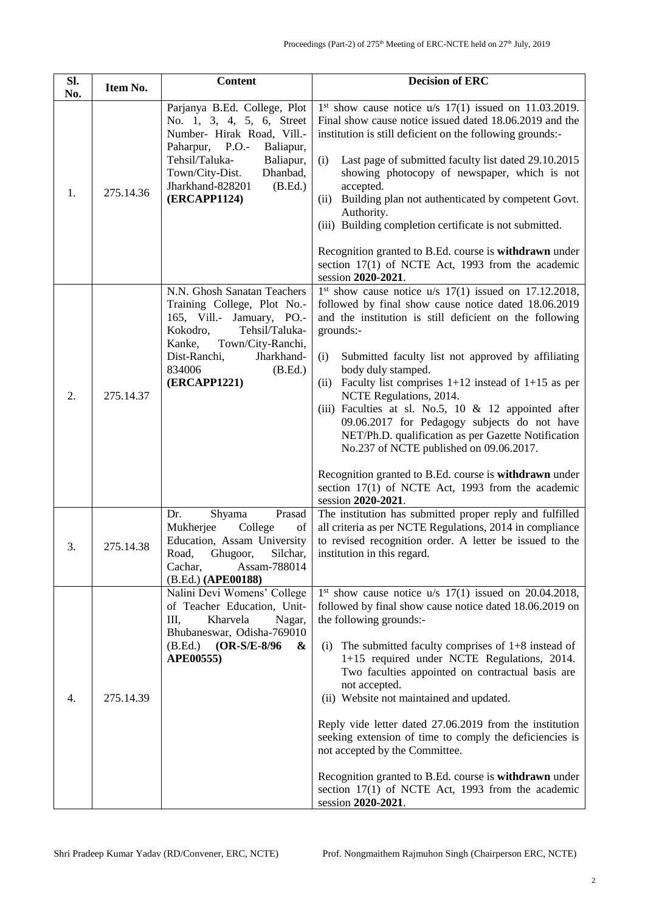| Sl.<br>No. | Item No.  | <b>Content</b>                                                                                                                                                                                                                              | <b>Decision of ERC</b>                                                                                                                                                                                                                                                                                                                                                                                                                                                                                                                                                                                                                                                                                                   |
|------------|-----------|---------------------------------------------------------------------------------------------------------------------------------------------------------------------------------------------------------------------------------------------|--------------------------------------------------------------------------------------------------------------------------------------------------------------------------------------------------------------------------------------------------------------------------------------------------------------------------------------------------------------------------------------------------------------------------------------------------------------------------------------------------------------------------------------------------------------------------------------------------------------------------------------------------------------------------------------------------------------------------|
| 1.         | 275.14.36 | Parjanya B.Ed. College, Plot<br>No. 1, 3, 4, 5, 6, Street<br>Number- Hirak Road, Vill.-<br>Paharpur, P.O.-<br>Baliapur,<br>Tehsil/Taluka-<br>Baliapur,<br>Town/City-Dist.<br>Dhanbad,<br>Jharkhand-828201<br>(B.Ed.)<br><b>(ERCAPP1124)</b> | $1st$ show cause notice u/s $17(1)$ issued on 11.03.2019.<br>Final show cause notice issued dated 18.06.2019 and the<br>institution is still deficient on the following grounds:-<br>Last page of submitted faculty list dated 29.10.2015<br>(i)<br>showing photocopy of newspaper, which is not<br>accepted.<br>Building plan not authenticated by competent Govt.<br>(ii)<br>Authority.<br>(iii) Building completion certificate is not submitted.<br>Recognition granted to B.Ed. course is withdrawn under<br>section 17(1) of NCTE Act, 1993 from the academic<br>session 2020-2021.                                                                                                                                |
| 2.         | 275.14.37 | N.N. Ghosh Sanatan Teachers<br>Training College, Plot No.-<br>165, Vill.- Jamuary, PO.-<br>Kokodro,<br>Tehsil/Taluka-<br>Kanke,<br>Town/City-Ranchi,<br>Dist-Ranchi,<br>Jharkhand-<br>834006<br>(B.Ed.)<br><b>(ERCAPP1221)</b>              | $1st$ show cause notice u/s $17(1)$ issued on 17.12.2018,<br>followed by final show cause notice dated 18.06.2019<br>and the institution is still deficient on the following<br>grounds:-<br>Submitted faculty list not approved by affiliating<br>(i)<br>body duly stamped.<br>Faculty list comprises $1+12$ instead of $1+15$ as per<br>(ii)<br>NCTE Regulations, 2014.<br>(iii) Faculties at sl. No.5, 10 & 12 appointed after<br>09.06.2017 for Pedagogy subjects do not have<br>NET/Ph.D. qualification as per Gazette Notification<br>No.237 of NCTE published on 09.06.2017.<br>Recognition granted to B.Ed. course is withdrawn under<br>section 17(1) of NCTE Act, 1993 from the academic<br>session 2020-2021. |
| 3.         | 275.14.38 | Prasad<br>Dr.<br>Shyama<br>Mukherjee<br>College<br>of<br>Education, Assam University<br>Road, Ghugoor, Silchar,<br>Assam-788014<br>Cachar,<br>(B.Ed.) (APE00188)                                                                            | The institution has submitted proper reply and fulfilled<br>all criteria as per NCTE Regulations, 2014 in compliance<br>to revised recognition order. A letter be issued to the<br>institution in this regard.                                                                                                                                                                                                                                                                                                                                                                                                                                                                                                           |
| 4.         | 275.14.39 | Nalini Devi Womens' College<br>of Teacher Education, Unit-<br>Ш,<br>Kharvela<br>Nagar,<br>Bhubaneswar, Odisha-769010<br>(B.Ed.)<br>(OR-S/E-8/96<br>&<br>APE00555)                                                                           | $1st$ show cause notice u/s $17(1)$ issued on 20.04.2018,<br>followed by final show cause notice dated 18.06.2019 on<br>the following grounds:-<br>The submitted faculty comprises of $1+8$ instead of<br>(i)<br>1+15 required under NCTE Regulations, 2014.<br>Two faculties appointed on contractual basis are<br>not accepted.<br>(ii) Website not maintained and updated.<br>Reply vide letter dated 27.06.2019 from the institution<br>seeking extension of time to comply the deficiencies is<br>not accepted by the Committee.<br>Recognition granted to B.Ed. course is withdrawn under<br>section 17(1) of NCTE Act, 1993 from the academic<br>session 2020-2021.                                               |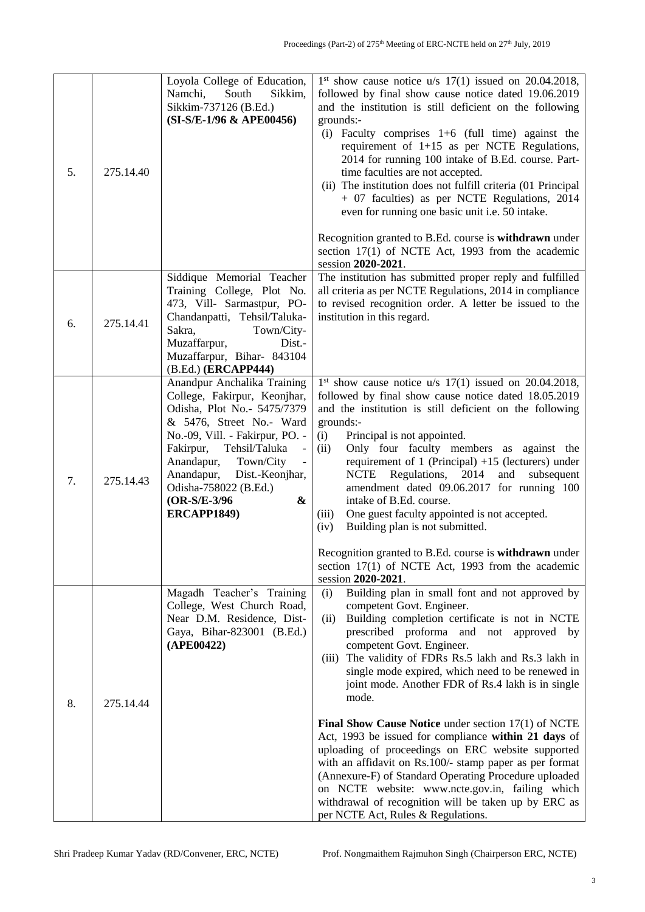| 5. | 275.14.40 | Loyola College of Education,<br>Sikkim,<br>Namchi,<br>South<br>Sikkim-737126 (B.Ed.)<br>(SI-S/E-1/96 & APE00456)                                                                                                                                                                                                                  | $1st$ show cause notice u/s $17(1)$ issued on 20.04.2018,<br>followed by final show cause notice dated 19.06.2019<br>and the institution is still deficient on the following<br>grounds:-<br>(i) Faculty comprises $1+6$ (full time) against the<br>requirement of $1+15$ as per NCTE Regulations,<br>2014 for running 100 intake of B.Ed. course. Part-<br>time faculties are not accepted.<br>(ii) The institution does not fulfill criteria (01 Principal<br>+ 07 faculties) as per NCTE Regulations, 2014<br>even for running one basic unit i.e. 50 intake.<br>Recognition granted to B.Ed. course is withdrawn under<br>section 17(1) of NCTE Act, 1993 from the academic<br>session 2020-2021.                                                                                                                                                              |
|----|-----------|-----------------------------------------------------------------------------------------------------------------------------------------------------------------------------------------------------------------------------------------------------------------------------------------------------------------------------------|--------------------------------------------------------------------------------------------------------------------------------------------------------------------------------------------------------------------------------------------------------------------------------------------------------------------------------------------------------------------------------------------------------------------------------------------------------------------------------------------------------------------------------------------------------------------------------------------------------------------------------------------------------------------------------------------------------------------------------------------------------------------------------------------------------------------------------------------------------------------|
| 6. | 275.14.41 | Siddique Memorial Teacher<br>Training College, Plot No.<br>473, Vill- Sarmastpur, PO-<br>Chandanpatti, Tehsil/Taluka-<br>Sakra,<br>Town/City-<br>Muzaffarpur,<br>Dist.-<br>Muzaffarpur, Bihar- 843104<br>(B.Ed.) (ERCAPP444)                                                                                                      | The institution has submitted proper reply and fulfilled<br>all criteria as per NCTE Regulations, 2014 in compliance<br>to revised recognition order. A letter be issued to the<br>institution in this regard.                                                                                                                                                                                                                                                                                                                                                                                                                                                                                                                                                                                                                                                     |
| 7. | 275.14.43 | Anandpur Anchalika Training<br>College, Fakirpur, Keonjhar,<br>Odisha, Plot No.- 5475/7379<br>& 5476, Street No.- Ward<br>No.-09, Vill. - Fakirpur, PO. -<br>Fakirpur,<br>Tehsil/Taluka<br>Anandapur,<br>Town/City<br>$\frac{1}{2}$<br>Anandapur,<br>Dist.-Keonjhar,<br>Odisha-758022 (B.Ed.)<br>&<br>(OR-S/E-3/96<br>ERCAPP1849) | $1st$ show cause notice u/s $17(1)$ issued on 20.04.2018,<br>followed by final show cause notice dated 18.05.2019<br>and the institution is still deficient on the following<br>grounds:-<br>(i)<br>Principal is not appointed.<br>Only four faculty members as against the<br>(ii)<br>requirement of 1 (Principal) $+15$ (lecturers) under<br>Regulations,<br>2014<br>and<br>subsequent<br>NCTE<br>amendment dated 09.06.2017 for running 100<br>intake of B.Ed. course.<br>One guest faculty appointed is not accepted.<br>(iii)<br>Building plan is not submitted.<br>(iv)<br>Recognition granted to B.Ed. course is withdrawn under<br>section 17(1) of NCTE Act, 1993 from the academic                                                                                                                                                                       |
| 8. | 275.14.44 | Magadh Teacher's Training<br>College, West Church Road,<br>Near D.M. Residence, Dist-<br>Gaya, Bihar-823001 (B.Ed.)<br>(APE00422)                                                                                                                                                                                                 | session 2020-2021.<br>Building plan in small font and not approved by<br>(i)<br>competent Govt. Engineer.<br>Building completion certificate is not in NCTE<br>(ii)<br>prescribed proforma and not approved by<br>competent Govt. Engineer.<br>The validity of FDRs Rs.5 lakh and Rs.3 lakh in<br>(iii)<br>single mode expired, which need to be renewed in<br>joint mode. Another FDR of Rs.4 lakh is in single<br>mode.<br>Final Show Cause Notice under section 17(1) of NCTE<br>Act, 1993 be issued for compliance within 21 days of<br>uploading of proceedings on ERC website supported<br>with an affidavit on Rs.100/- stamp paper as per format<br>(Annexure-F) of Standard Operating Procedure uploaded<br>on NCTE website: www.ncte.gov.in, failing which<br>withdrawal of recognition will be taken up by ERC as<br>per NCTE Act, Rules & Regulations. |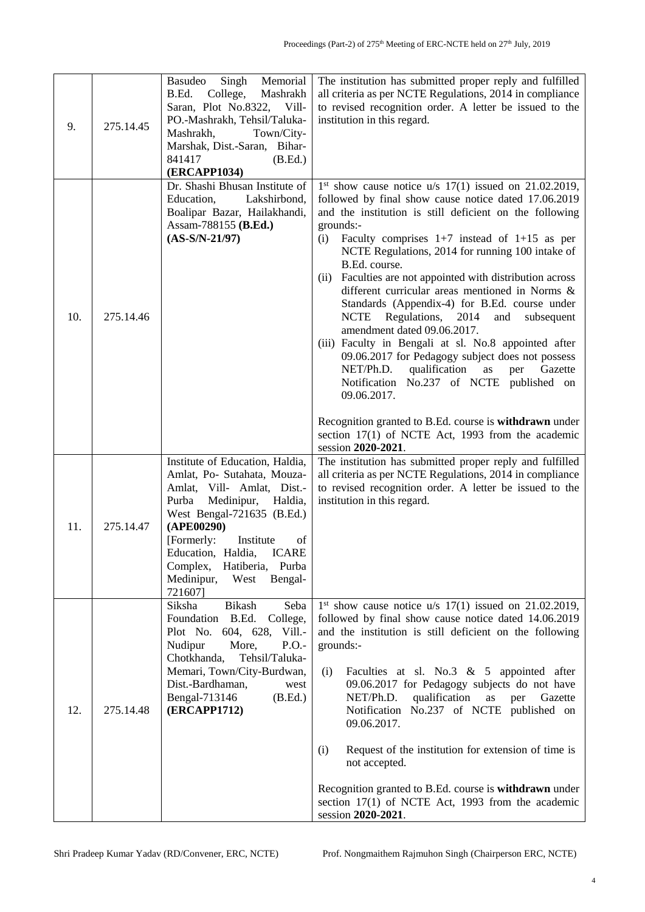| 9.  | 275.14.45 | <b>Basudeo</b><br>Memorial<br>Singh<br>B.Ed.<br>College,<br>Mashrakh<br>Saran, Plot No.8322, Vill-<br>PO.-Mashrakh, Tehsil/Taluka-<br>Mashrakh,<br>Town/City-<br>Marshak, Dist.-Saran, Bihar-<br>841417<br>(B.Ed.)<br><b>(ERCAPP1034)</b>                                                                               | The institution has submitted proper reply and fulfilled<br>all criteria as per NCTE Regulations, 2014 in compliance<br>to revised recognition order. A letter be issued to the<br>institution in this regard.                                                                                                                                                                                                                                                                                                                                                                                                                                                                                                                                                                                                                                                                                                                                             |
|-----|-----------|-------------------------------------------------------------------------------------------------------------------------------------------------------------------------------------------------------------------------------------------------------------------------------------------------------------------------|------------------------------------------------------------------------------------------------------------------------------------------------------------------------------------------------------------------------------------------------------------------------------------------------------------------------------------------------------------------------------------------------------------------------------------------------------------------------------------------------------------------------------------------------------------------------------------------------------------------------------------------------------------------------------------------------------------------------------------------------------------------------------------------------------------------------------------------------------------------------------------------------------------------------------------------------------------|
| 10. | 275.14.46 | Dr. Shashi Bhusan Institute of<br>Lakshirbond,<br>Education,<br>Boalipar Bazar, Hailakhandi,<br>Assam-788155 (B.Ed.)<br>$(AS-S/N-21/97)$                                                                                                                                                                                | $1st$ show cause notice u/s $17(1)$ issued on 21.02.2019,<br>followed by final show cause notice dated 17.06.2019<br>and the institution is still deficient on the following<br>grounds:-<br>Faculty comprises $1+7$ instead of $1+15$ as per<br>(i)<br>NCTE Regulations, 2014 for running 100 intake of<br>B.Ed. course.<br>Faculties are not appointed with distribution across<br>(ii)<br>different curricular areas mentioned in Norms &<br>Standards (Appendix-4) for B.Ed. course under<br>Regulations,<br>2014<br><b>NCTE</b><br>and<br>subsequent<br>amendment dated 09.06.2017.<br>(iii) Faculty in Bengali at sl. No.8 appointed after<br>09.06.2017 for Pedagogy subject does not possess<br>qualification<br>NET/Ph.D.<br>as<br>per<br>Gazette<br>Notification No.237 of NCTE published on<br>09.06.2017.<br>Recognition granted to B.Ed. course is withdrawn under<br>section 17(1) of NCTE Act, 1993 from the academic<br>session 2020-2021. |
| 11. | 275.14.47 | Institute of Education, Haldia,<br>Amlat, Po- Sutahata, Mouza-<br>Amlat, Vill- Amlat, Dist.-<br>Medinipur, Haldia,<br>Purba<br>West Bengal-721635 (B.Ed.)<br>(APE00290)<br>[Formerly:<br>Institute<br>of<br><b>ICARE</b><br>Education, Haldia,<br>Complex, Hatiberia, Purba<br>Medinipur,<br>West<br>Bengal-<br>721607] | The institution has submitted proper reply and fulfilled<br>all criteria as per NCTE Regulations, 2014 in compliance<br>to revised recognition order. A letter be issued to the<br>institution in this regard.                                                                                                                                                                                                                                                                                                                                                                                                                                                                                                                                                                                                                                                                                                                                             |
| 12. | 275.14.48 | Siksha<br><b>Bikash</b><br>Seba<br>Foundation<br>B.Ed.<br>College,<br>604, 628, Vill.-<br>Plot No.<br>Nudipur<br>More,<br>P.O.<br>Chotkhanda,<br>Tehsil/Taluka-<br>Memari, Town/City-Burdwan,<br>Dist.-Bardhaman,<br>west<br>Bengal-713146<br>(B.Ed.)<br><b>(ERCAPP1712)</b>                                            | $1st$ show cause notice u/s 17(1) issued on 21.02.2019,<br>followed by final show cause notice dated 14.06.2019<br>and the institution is still deficient on the following<br>grounds:-<br>(i)<br>Faculties at sl. No.3 & 5 appointed after<br>09.06.2017 for Pedagogy subjects do not have<br>NET/Ph.D.<br>qualification<br>as<br>per<br>Gazette<br>Notification No.237 of NCTE published on<br>09.06.2017.<br>(i)<br>Request of the institution for extension of time is<br>not accepted.<br>Recognition granted to B.Ed. course is withdrawn under<br>section $17(1)$ of NCTE Act, 1993 from the academic<br>session 2020-2021.                                                                                                                                                                                                                                                                                                                         |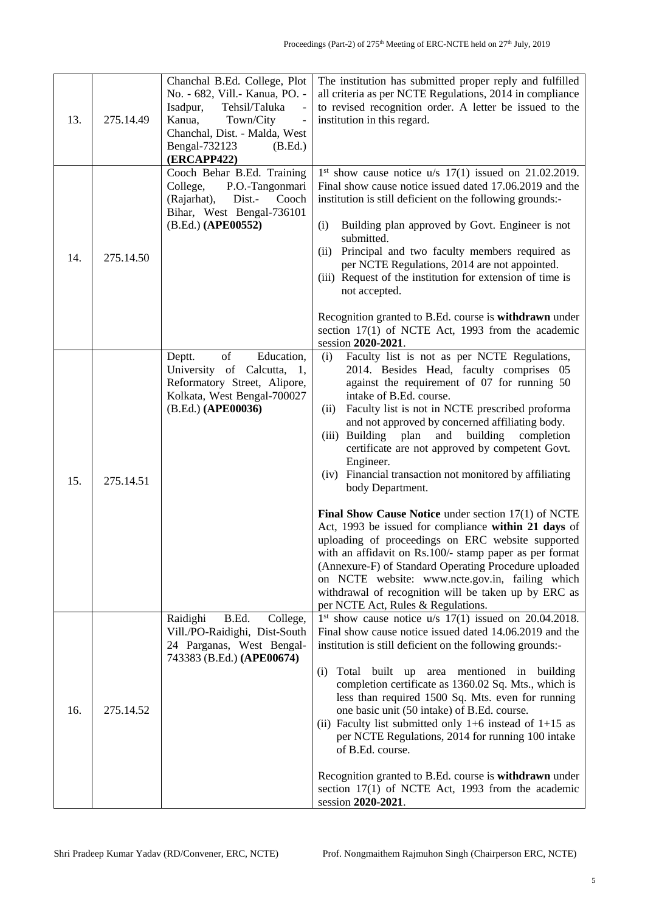| 13. | 275.14.49 | Chanchal B.Ed. College, Plot<br>No. - 682, Vill.- Kanua, PO. -<br>Tehsil/Taluka<br>Isadpur,<br>Kanua,<br>Town/City<br>$\qquad \qquad -$<br>Chanchal, Dist. - Malda, West<br>Bengal-732123<br>(B.Ed.)<br>(ERCAPP422) | The institution has submitted proper reply and fulfilled<br>all criteria as per NCTE Regulations, 2014 in compliance<br>to revised recognition order. A letter be issued to the<br>institution in this regard.                                                                                                                                                                                                                                                                                                                                                                                                                                                                                                                                                                                                                                                                                                                              |
|-----|-----------|---------------------------------------------------------------------------------------------------------------------------------------------------------------------------------------------------------------------|---------------------------------------------------------------------------------------------------------------------------------------------------------------------------------------------------------------------------------------------------------------------------------------------------------------------------------------------------------------------------------------------------------------------------------------------------------------------------------------------------------------------------------------------------------------------------------------------------------------------------------------------------------------------------------------------------------------------------------------------------------------------------------------------------------------------------------------------------------------------------------------------------------------------------------------------|
| 14. | 275.14.50 | Cooch Behar B.Ed. Training<br>College,<br>P.O.-Tangonmari<br>(Rajarhat),<br>Dist.-<br>Cooch<br>Bihar, West Bengal-736101<br>(B.Ed.) (APE00552)                                                                      | $1st$ show cause notice u/s $17(1)$ issued on 21.02.2019.<br>Final show cause notice issued dated 17.06.2019 and the<br>institution is still deficient on the following grounds:-<br>Building plan approved by Govt. Engineer is not<br>(i)<br>submitted.<br>Principal and two faculty members required as<br>(ii)<br>per NCTE Regulations, 2014 are not appointed.<br>(iii) Request of the institution for extension of time is<br>not accepted.<br>Recognition granted to B.Ed. course is withdrawn under<br>section 17(1) of NCTE Act, 1993 from the academic<br>session 2020-2021.                                                                                                                                                                                                                                                                                                                                                      |
| 15. | 275.14.51 | of<br>Deptt.<br>Education,<br>University of Calcutta, 1,<br>Reformatory Street, Alipore,<br>Kolkata, West Bengal-700027<br>(B.Ed.) (APE00036)                                                                       | Faculty list is not as per NCTE Regulations,<br>(i)<br>2014. Besides Head, faculty comprises 05<br>against the requirement of 07 for running 50<br>intake of B.Ed. course.<br>Faculty list is not in NCTE prescribed proforma<br>(ii)<br>and not approved by concerned affiliating body.<br>building<br>(iii) Building<br>plan<br>and<br>completion<br>certificate are not approved by competent Govt.<br>Engineer.<br>(iv) Financial transaction not monitored by affiliating<br>body Department.<br>Final Show Cause Notice under section 17(1) of NCTE<br>Act, 1993 be issued for compliance within 21 days of<br>uploading of proceedings on ERC website supported<br>with an affidavit on Rs.100/- stamp paper as per format<br>(Annexure-F) of Standard Operating Procedure uploaded<br>on NCTE website: www.ncte.gov.in, failing which<br>withdrawal of recognition will be taken up by ERC as<br>per NCTE Act, Rules & Regulations. |
| 16. | 275.14.52 | Raidighi<br>B.Ed.<br>College,<br>Vill./PO-Raidighi, Dist-South<br>24 Parganas, West Bengal-<br>743383 (B.Ed.) (APE00674)                                                                                            | $1st$ show cause notice $u/s$ 17(1) issued on 20.04.2018.<br>Final show cause notice issued dated 14.06.2019 and the<br>institution is still deficient on the following grounds:-<br>Total built up area mentioned in building<br>(i)<br>completion certificate as 1360.02 Sq. Mts., which is<br>less than required 1500 Sq. Mts. even for running<br>one basic unit (50 intake) of B.Ed. course.<br>(ii) Faculty list submitted only 1+6 instead of $1+15$ as<br>per NCTE Regulations, 2014 for running 100 intake<br>of B.Ed. course.<br>Recognition granted to B.Ed. course is withdrawn under<br>section $17(1)$ of NCTE Act, 1993 from the academic<br>session 2020-2021.                                                                                                                                                                                                                                                              |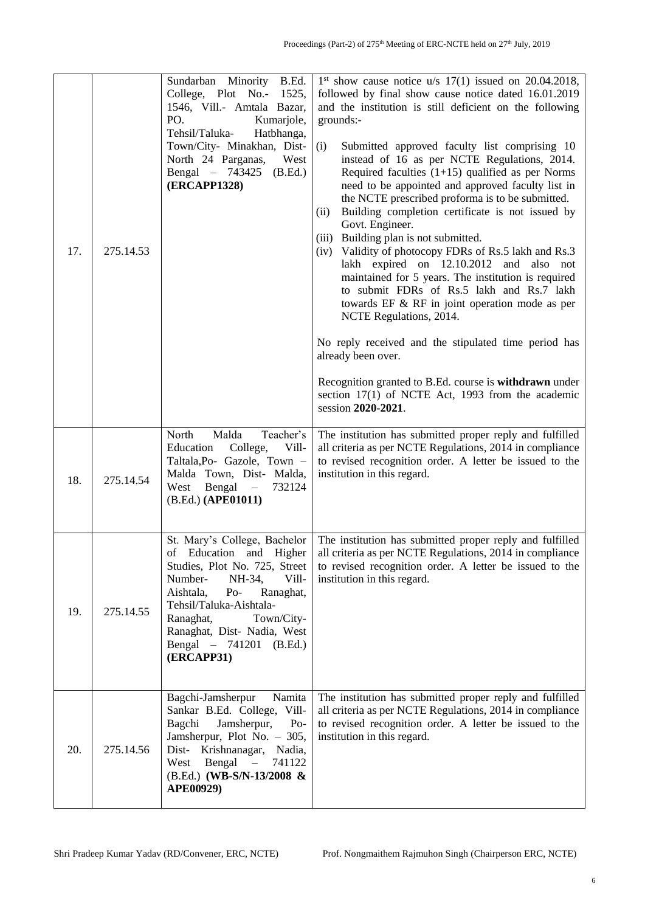| 17. | 275.14.53 | Sundarban Minority<br>B.Ed.<br>College, Plot No.-<br>1525,<br>1546, Vill.- Amtala Bazar,<br>PO.<br>Kumarjole,<br>Hatbhanga,<br>Tehsil/Taluka-<br>Town/City- Minakhan, Dist-<br>North 24 Parganas,<br>West<br>Bengal – 743425<br>(B.Ed.)<br>(ERCAPP1328)                                       | $1st$ show cause notice u/s $17(1)$ issued on 20.04.2018,<br>followed by final show cause notice dated 16.01.2019<br>and the institution is still deficient on the following<br>grounds:-<br>(i)<br>Submitted approved faculty list comprising 10<br>instead of 16 as per NCTE Regulations, 2014.<br>Required faculties $(1+15)$ qualified as per Norms<br>need to be appointed and approved faculty list in<br>the NCTE prescribed proforma is to be submitted.<br>Building completion certificate is not issued by<br>(ii)<br>Govt. Engineer.<br>(iii) Building plan is not submitted.<br>Validity of photocopy FDRs of Rs.5 lakh and Rs.3<br>(iv)<br>lakh expired on 12.10.2012 and also not<br>maintained for 5 years. The institution is required<br>to submit FDRs of Rs.5 lakh and Rs.7 lakh<br>towards EF & RF in joint operation mode as per<br>NCTE Regulations, 2014.<br>No reply received and the stipulated time period has<br>already been over.<br>Recognition granted to B.Ed. course is withdrawn under<br>section 17(1) of NCTE Act, 1993 from the academic<br>session 2020-2021. |
|-----|-----------|-----------------------------------------------------------------------------------------------------------------------------------------------------------------------------------------------------------------------------------------------------------------------------------------------|-----------------------------------------------------------------------------------------------------------------------------------------------------------------------------------------------------------------------------------------------------------------------------------------------------------------------------------------------------------------------------------------------------------------------------------------------------------------------------------------------------------------------------------------------------------------------------------------------------------------------------------------------------------------------------------------------------------------------------------------------------------------------------------------------------------------------------------------------------------------------------------------------------------------------------------------------------------------------------------------------------------------------------------------------------------------------------------------------------|
| 18. | 275.14.54 | Malda<br>Teacher's<br>North<br>Vill-<br>Education<br>College,<br>Taltala, Po- Gazole, Town -<br>Malda Town, Dist- Malda,<br>West Bengal<br>732124<br>$\equiv$<br>(B.Ed.) (APE01011)                                                                                                           | The institution has submitted proper reply and fulfilled<br>all criteria as per NCTE Regulations, 2014 in compliance<br>to revised recognition order. A letter be issued to the<br>institution in this regard.                                                                                                                                                                                                                                                                                                                                                                                                                                                                                                                                                                                                                                                                                                                                                                                                                                                                                      |
| 19. | 275.14.55 | St. Mary's College, Bachelor<br>Education<br>of<br>and Higher<br>Studies, Plot No. 725, Street<br>Number-<br>NH-34,<br>Vill-<br>Aishtala,<br>$Po-$<br>Ranaghat,<br>Tehsil/Taluka-Aishtala-<br>Town/City-<br>Ranaghat,<br>Ranaghat, Dist- Nadia, West<br>Bengal - 741201 (B.Ed.)<br>(ERCAPP31) | The institution has submitted proper reply and fulfilled<br>all criteria as per NCTE Regulations, 2014 in compliance<br>to revised recognition order. A letter be issued to the<br>institution in this regard.                                                                                                                                                                                                                                                                                                                                                                                                                                                                                                                                                                                                                                                                                                                                                                                                                                                                                      |
| 20. | 275.14.56 | Bagchi-Jamsherpur<br>Namita<br>Sankar B.Ed. College, Vill-<br>Jamsherpur,<br>Bagchi<br>$Po-$<br>Jamsherpur, Plot No. - 305,<br>Dist- Krishnanagar, Nadia,<br>Bengal<br>West<br>741122<br>$\equiv$<br>(B.Ed.) (WB-S/N-13/2008 &<br>APE00929)                                                   | The institution has submitted proper reply and fulfilled<br>all criteria as per NCTE Regulations, 2014 in compliance<br>to revised recognition order. A letter be issued to the<br>institution in this regard.                                                                                                                                                                                                                                                                                                                                                                                                                                                                                                                                                                                                                                                                                                                                                                                                                                                                                      |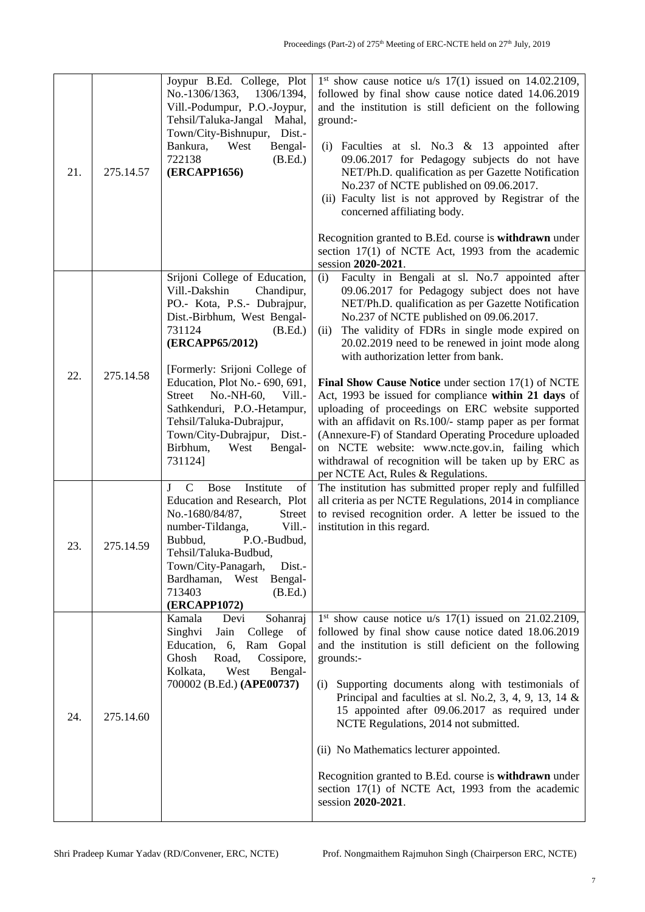| 21. | 275.14.57 | Joypur B.Ed. College, Plot<br>1306/1394,<br>No.-1306/1363,<br>Vill.-Podumpur, P.O.-Joypur,<br>Tehsil/Taluka-Jangal Mahal,<br>Town/City-Bishnupur, Dist.-<br>Bankura,<br>West<br>Bengal-<br>722138<br>(B.Ed.)<br>(ERCAPP1656)                                                                                                                                                                                 | $1st$ show cause notice u/s $17(1)$ issued on $14.02.2109$ ,<br>followed by final show cause notice dated 14.06.2019<br>and the institution is still deficient on the following<br>ground:-<br>Faculties at sl. No.3 & 13 appointed after<br>(i)<br>09.06.2017 for Pedagogy subjects do not have<br>NET/Ph.D. qualification as per Gazette Notification<br>No.237 of NCTE published on 09.06.2017.<br>(ii) Faculty list is not approved by Registrar of the<br>concerned affiliating body.<br>Recognition granted to B.Ed. course is withdrawn under<br>section 17(1) of NCTE Act, 1993 from the academic<br>session 2020-2021.                                                                                                                                                                          |
|-----|-----------|--------------------------------------------------------------------------------------------------------------------------------------------------------------------------------------------------------------------------------------------------------------------------------------------------------------------------------------------------------------------------------------------------------------|----------------------------------------------------------------------------------------------------------------------------------------------------------------------------------------------------------------------------------------------------------------------------------------------------------------------------------------------------------------------------------------------------------------------------------------------------------------------------------------------------------------------------------------------------------------------------------------------------------------------------------------------------------------------------------------------------------------------------------------------------------------------------------------------------------|
| 22. | 275.14.58 | Srijoni College of Education,<br>Vill.-Dakshin<br>Chandipur,<br>PO.- Kota, P.S.- Dubrajpur,<br>Dist.-Birbhum, West Bengal-<br>731124<br>(B.Ed.)<br>(ERCAPP65/2012)<br>[Formerly: Srijoni College of<br>Education, Plot No. - 690, 691,<br>No.-NH-60,<br>Vill.-<br>Street<br>Sathkenduri, P.O.-Hetampur,<br>Tehsil/Taluka-Dubrajpur,<br>Town/City-Dubrajpur, Dist.-<br>Birbhum,<br>West<br>Bengal-<br>731124] | (i)<br>Faculty in Bengali at sl. No.7 appointed after<br>09.06.2017 for Pedagogy subject does not have<br>NET/Ph.D. qualification as per Gazette Notification<br>No.237 of NCTE published on 09.06.2017.<br>The validity of FDRs in single mode expired on<br>(ii)<br>20.02.2019 need to be renewed in joint mode along<br>with authorization letter from bank.<br>Final Show Cause Notice under section 17(1) of NCTE<br>Act, 1993 be issued for compliance within 21 days of<br>uploading of proceedings on ERC website supported<br>with an affidavit on Rs.100/- stamp paper as per format<br>(Annexure-F) of Standard Operating Procedure uploaded<br>on NCTE website: www.ncte.gov.in, failing which<br>withdrawal of recognition will be taken up by ERC as<br>per NCTE Act, Rules & Regulations. |
| 23. | 275.14.59 | Institute<br>$\mathbf{J}$<br>C<br><b>Bose</b><br>of<br>Education and Research, Plot<br>No.-1680/84/87,<br><b>Street</b><br>number-Tildanga,<br>Vill.-<br>Bubbud,<br>P.O.-Budbud,<br>Tehsil/Taluka-Budbud,<br>Town/City-Panagarh,<br>Dist.-<br>Bardhaman, West<br>Bengal-<br>713403<br>(B.Ed.)<br>(ERCAPP1072)                                                                                                | The institution has submitted proper reply and fulfilled<br>all criteria as per NCTE Regulations, 2014 in compliance<br>to revised recognition order. A letter be issued to the<br>institution in this regard.                                                                                                                                                                                                                                                                                                                                                                                                                                                                                                                                                                                           |
| 24. | 275.14.60 | Kamala<br>Devi<br>Sohanraj<br>Singhvi<br>College<br>Jain<br>of<br>Education,<br>6, Ram Gopal<br>Ghosh<br>Road,<br>Cossipore,<br>Bengal-<br>Kolkata,<br>West<br>700002 (B.Ed.) (APE00737)                                                                                                                                                                                                                     | $1st$ show cause notice u/s $17(1)$ issued on $21.02.2109$ ,<br>followed by final show cause notice dated 18.06.2019<br>and the institution is still deficient on the following<br>grounds:-<br>Supporting documents along with testimonials of<br>(i)<br>Principal and faculties at sl. No.2, 3, 4, 9, 13, 14 $\&$<br>15 appointed after 09.06.2017 as required under<br>NCTE Regulations, 2014 not submitted.<br>(ii) No Mathematics lecturer appointed.<br>Recognition granted to B.Ed. course is withdrawn under<br>section 17(1) of NCTE Act, 1993 from the academic<br>session 2020-2021.                                                                                                                                                                                                          |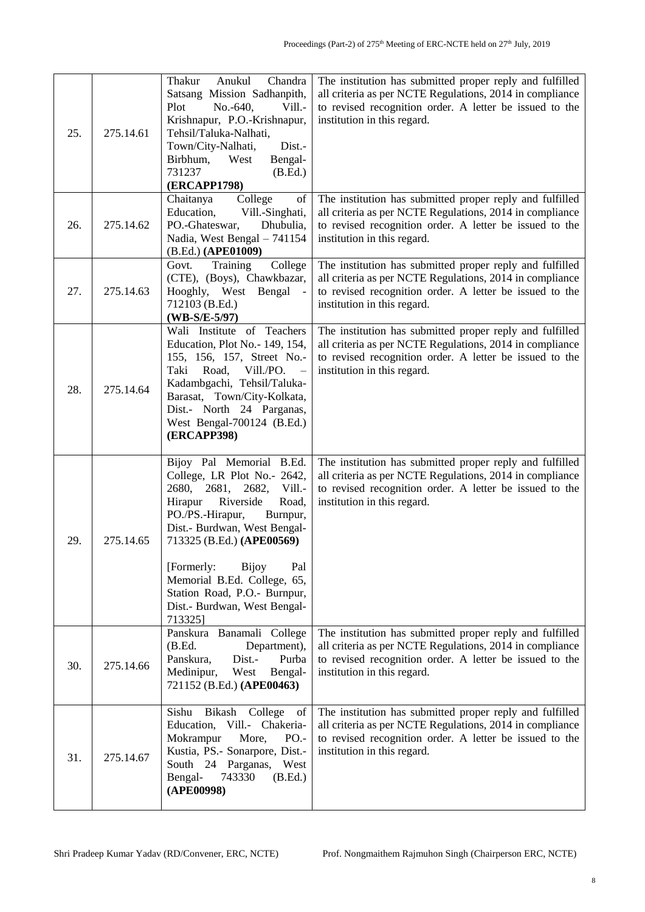| 25. | 275.14.61 | Thakur<br>Anukul<br>Chandra<br>Satsang Mission Sadhanpith,<br>No.-640,<br>Vill.-<br>Plot<br>Krishnapur, P.O.-Krishnapur,<br>Tehsil/Taluka-Nalhati,<br>Town/City-Nalhati,<br>Dist.-<br>Birbhum,<br>West<br>Bengal-<br>731237<br>(B.Ed.)<br><b>(ERCAPP1798)</b>                                                                                                             | The institution has submitted proper reply and fulfilled<br>all criteria as per NCTE Regulations, 2014 in compliance<br>to revised recognition order. A letter be issued to the<br>institution in this regard. |
|-----|-----------|---------------------------------------------------------------------------------------------------------------------------------------------------------------------------------------------------------------------------------------------------------------------------------------------------------------------------------------------------------------------------|----------------------------------------------------------------------------------------------------------------------------------------------------------------------------------------------------------------|
| 26. | 275.14.62 | College<br>Chaitanya<br>of<br>Education,<br>Vill.-Singhati,<br>PO.-Ghateswar,<br>Dhubulia,<br>Nadia, West Bengal - 741154<br>(B.Ed.) (APE01009)                                                                                                                                                                                                                           | The institution has submitted proper reply and fulfilled<br>all criteria as per NCTE Regulations, 2014 in compliance<br>to revised recognition order. A letter be issued to the<br>institution in this regard. |
| 27. | 275.14.63 | College<br>Govt.<br>Training<br>(CTE), (Boys), Chawkbazar,<br>Hooghly, West Bengal<br>712103 (B.Ed.)<br>$(WB-S/E-5/97)$                                                                                                                                                                                                                                                   | The institution has submitted proper reply and fulfilled<br>all criteria as per NCTE Regulations, 2014 in compliance<br>to revised recognition order. A letter be issued to the<br>institution in this regard. |
| 28. | 275.14.64 | Wali Institute of Teachers<br>Education, Plot No. - 149, 154,<br>155, 156, 157, Street No.-<br>Taki<br>Road,<br>Vill./PO.<br>$\overline{\phantom{a}}$<br>Kadambgachi, Tehsil/Taluka-<br>Barasat, Town/City-Kolkata,<br>Dist.- North 24 Parganas,<br>West Bengal-700124 (B.Ed.)<br><b>(ERCAPP398)</b>                                                                      | The institution has submitted proper reply and fulfilled<br>all criteria as per NCTE Regulations, 2014 in compliance<br>to revised recognition order. A letter be issued to the<br>institution in this regard. |
| 29. | 275.14.65 | Bijoy Pal Memorial B.Ed.<br>College, LR Plot No.- 2642,<br>2680,<br>Vill.-<br>2681,<br>2682,<br>Riverside<br>Hirapur<br>Road,<br>PO./PS.-Hirapur,<br>Burnpur,<br>Dist.- Burdwan, West Bengal-<br>713325 (B.Ed.) (APE00569)<br>[Formerly:<br><b>Bijoy</b><br>Pal<br>Memorial B.Ed. College, 65,<br>Station Road, P.O.- Burnpur,<br>Dist.- Burdwan, West Bengal-<br>713325] | The institution has submitted proper reply and fulfilled<br>all criteria as per NCTE Regulations, 2014 in compliance<br>to revised recognition order. A letter be issued to the<br>institution in this regard. |
| 30. | 275.14.66 | Panskura Banamali College<br>Department),<br>(B.Ed.<br>Panskura,<br>Purba<br>Dist.-<br>Bengal-<br>Medinipur,<br>West<br>721152 (B.Ed.) (APE00463)                                                                                                                                                                                                                         | The institution has submitted proper reply and fulfilled<br>all criteria as per NCTE Regulations, 2014 in compliance<br>to revised recognition order. A letter be issued to the<br>institution in this regard. |
| 31. | 275.14.67 | Bikash College of<br>Sishu<br>Education, Vill.- Chakeria-<br>Mokrampur<br>PO.-<br>More,<br>Kustia, PS.- Sonarpore, Dist.-<br>South 24 Parganas,<br>West<br>Bengal-<br>(B.Ed.)<br>743330<br>(APE00998)                                                                                                                                                                     | The institution has submitted proper reply and fulfilled<br>all criteria as per NCTE Regulations, 2014 in compliance<br>to revised recognition order. A letter be issued to the<br>institution in this regard. |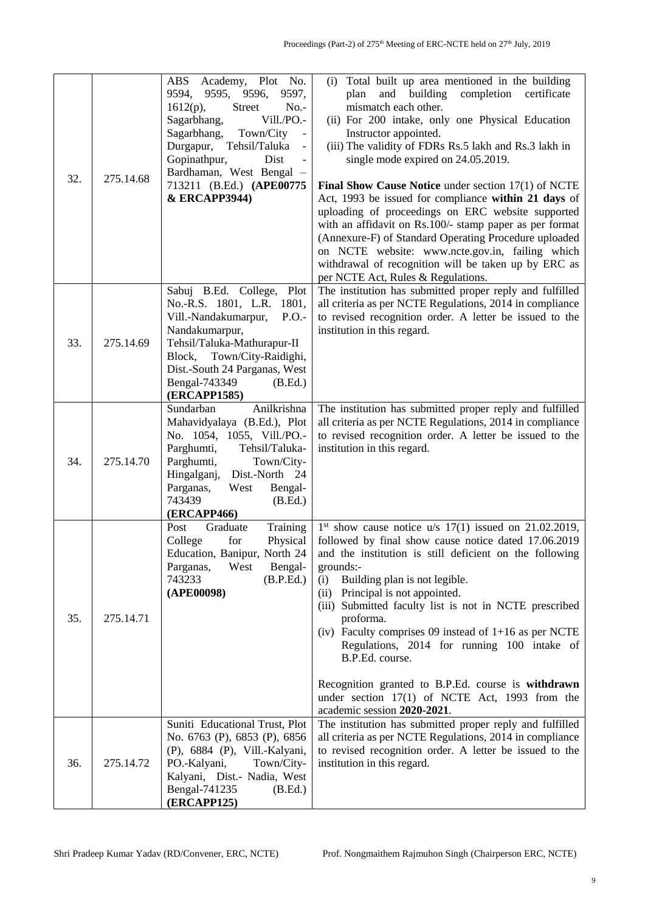| 32. | 275.14.68 | Academy, Plot No.<br>ABS<br>9594,<br>9595, 9596,<br>9597,<br>$1612(p)$ ,<br><b>Street</b><br>$No. -$<br>Sagarbhang,<br>Vill./PO.-<br>Sagarbhang,<br>Town/City<br>$\Box$<br>Durgapur, Tehsil/Taluka<br>$\blacksquare$<br>Gopinathpur,<br>Dist<br>Bardhaman, West Bengal<br>713211 (B.Ed.) (APE00775<br>& ERCAPP3944) | Total built up area mentioned in the building<br>(i)<br>and building<br>completion certificate<br>plan<br>mismatch each other.<br>(ii) For 200 intake, only one Physical Education<br>Instructor appointed.<br>(iii) The validity of FDRs Rs.5 lakh and Rs.3 lakh in<br>single mode expired on 24.05.2019.<br>Final Show Cause Notice under section 17(1) of NCTE<br>Act, 1993 be issued for compliance within 21 days of<br>uploading of proceedings on ERC website supported<br>with an affidavit on Rs.100/- stamp paper as per format<br>(Annexure-F) of Standard Operating Procedure uploaded<br>on NCTE website: www.ncte.gov.in, failing which<br>withdrawal of recognition will be taken up by ERC as<br>per NCTE Act, Rules & Regulations. |
|-----|-----------|---------------------------------------------------------------------------------------------------------------------------------------------------------------------------------------------------------------------------------------------------------------------------------------------------------------------|-----------------------------------------------------------------------------------------------------------------------------------------------------------------------------------------------------------------------------------------------------------------------------------------------------------------------------------------------------------------------------------------------------------------------------------------------------------------------------------------------------------------------------------------------------------------------------------------------------------------------------------------------------------------------------------------------------------------------------------------------------|
| 33. | 275.14.69 | Sabuj B.Ed. College, Plot<br>No.-R.S. 1801, L.R. 1801,<br>Vill.-Nandakumarpur,<br>P.O.<br>Nandakumarpur,<br>Tehsil/Taluka-Mathurapur-II<br>Town/City-Raidighi,<br>Block,<br>Dist.-South 24 Parganas, West<br>Bengal-743349<br>(B.Ed.)<br>(ERCAPP1585)                                                               | The institution has submitted proper reply and fulfilled<br>all criteria as per NCTE Regulations, 2014 in compliance<br>to revised recognition order. A letter be issued to the<br>institution in this regard.                                                                                                                                                                                                                                                                                                                                                                                                                                                                                                                                      |
| 34. | 275.14.70 | Anilkrishna<br>Sundarban<br>Mahavidyalaya (B.Ed.), Plot<br>No. 1054, 1055, Vill./PO.-<br>Parghumti,<br>Tehsil/Taluka-<br>Parghumti,<br>Town/City-<br>Dist.-North 24<br>Hingalganj,<br>Parganas,<br>Bengal-<br>West<br>743439<br>(B.Ed.)<br><b>(ERCAPP466)</b>                                                       | The institution has submitted proper reply and fulfilled<br>all criteria as per NCTE Regulations, 2014 in compliance<br>to revised recognition order. A letter be issued to the<br>institution in this regard.                                                                                                                                                                                                                                                                                                                                                                                                                                                                                                                                      |
| 35. | 275.14.71 | Training<br>Post<br>Graduate<br>College<br>for<br>Physical<br>Education, Banipur, North 24<br>Parganas,<br>West<br>Bengal-<br>743233<br>(B.P.Ed.)<br>(APE00098)                                                                                                                                                     | $1st$ show cause notice u/s $17(1)$ issued on 21.02.2019,<br>followed by final show cause notice dated 17.06.2019<br>and the institution is still deficient on the following<br>grounds:-<br>Building plan is not legible.<br>(i)<br>Principal is not appointed.<br>(ii)<br>(iii) Submitted faculty list is not in NCTE prescribed<br>proforma.<br>(iv) Faculty comprises 09 instead of $1+16$ as per NCTE<br>Regulations, 2014 for running 100 intake of<br>B.P.Ed. course.<br>Recognition granted to B.P.Ed. course is withdrawn<br>under section 17(1) of NCTE Act, 1993 from the<br>academic session 2020-2021.                                                                                                                                 |
| 36. | 275.14.72 | Suniti Educational Trust, Plot<br>No. 6763 (P), 6853 (P), 6856<br>(P), 6884 (P), Vill.-Kalyani,<br>PO.-Kalyani,<br>Town/City-<br>Kalyani, Dist.- Nadia, West<br>Bengal-741235<br>(B.Ed.)<br>(ERCAPP125)                                                                                                             | The institution has submitted proper reply and fulfilled<br>all criteria as per NCTE Regulations, 2014 in compliance<br>to revised recognition order. A letter be issued to the<br>institution in this regard.                                                                                                                                                                                                                                                                                                                                                                                                                                                                                                                                      |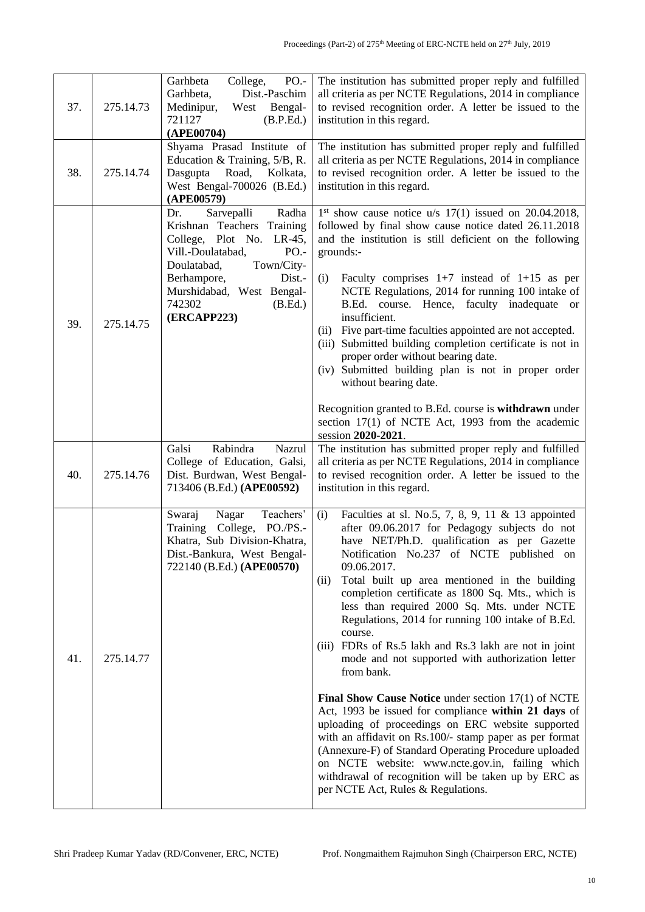| 37. | 275.14.73 | PO.-<br>Garhbeta<br>College,<br>Dist.-Paschim<br>Garhbeta,<br>Bengal-<br>Medinipur,<br>West<br>721127<br>(B.P.Ed.)<br>(APE00704)                                                                                                            | The institution has submitted proper reply and fulfilled<br>all criteria as per NCTE Regulations, 2014 in compliance<br>to revised recognition order. A letter be issued to the<br>institution in this regard.                                                                                                                                                                                                                                                                                                                                                                                                                                                                                                                                                                                                                                                                                                                                                                                                        |
|-----|-----------|---------------------------------------------------------------------------------------------------------------------------------------------------------------------------------------------------------------------------------------------|-----------------------------------------------------------------------------------------------------------------------------------------------------------------------------------------------------------------------------------------------------------------------------------------------------------------------------------------------------------------------------------------------------------------------------------------------------------------------------------------------------------------------------------------------------------------------------------------------------------------------------------------------------------------------------------------------------------------------------------------------------------------------------------------------------------------------------------------------------------------------------------------------------------------------------------------------------------------------------------------------------------------------|
| 38. | 275.14.74 | Shyama Prasad Institute of<br>Education & Training, 5/B, R.<br>Dasgupta Road,<br>Kolkata,<br>West Bengal-700026 (B.Ed.)<br>(APE00579)                                                                                                       | The institution has submitted proper reply and fulfilled<br>all criteria as per NCTE Regulations, 2014 in compliance<br>to revised recognition order. A letter be issued to the<br>institution in this regard.                                                                                                                                                                                                                                                                                                                                                                                                                                                                                                                                                                                                                                                                                                                                                                                                        |
| 39. | 275.14.75 | Sarvepalli<br>Radha<br>Dr.<br>Krishnan Teachers Training<br>College, Plot No. LR-45,<br>Vill.-Doulatabad,<br>$PO. -$<br>Doulatabad,<br>Town/City-<br>Berhampore,<br>Dist.-<br>Murshidabad, West Bengal-<br>742302<br>(B.Ed.)<br>(ERCAPP223) | $1st$ show cause notice u/s $17(1)$ issued on 20.04.2018,<br>followed by final show cause notice dated 26.11.2018<br>and the institution is still deficient on the following<br>grounds:-<br>Faculty comprises $1+7$ instead of $1+15$ as per<br>(i)<br>NCTE Regulations, 2014 for running 100 intake of<br>B.Ed. course. Hence, faculty inadequate or<br>insufficient.<br>Five part-time faculties appointed are not accepted.<br>(ii)<br>(iii) Submitted building completion certificate is not in<br>proper order without bearing date.<br>(iv) Submitted building plan is not in proper order<br>without bearing date.<br>Recognition granted to B.Ed. course is withdrawn under<br>section 17(1) of NCTE Act, 1993 from the academic<br>session 2020-2021.                                                                                                                                                                                                                                                       |
| 40. | 275.14.76 | Rabindra<br>Galsi<br>Nazrul<br>College of Education, Galsi,<br>Dist. Burdwan, West Bengal-<br>713406 (B.Ed.) (APE00592)                                                                                                                     | The institution has submitted proper reply and fulfilled<br>all criteria as per NCTE Regulations, 2014 in compliance<br>to revised recognition order. A letter be issued to the<br>institution in this regard.                                                                                                                                                                                                                                                                                                                                                                                                                                                                                                                                                                                                                                                                                                                                                                                                        |
| 41. | 275.14.77 | Teachers'<br>Nagar<br>Swaraj<br>Training College, PO./PS.-<br>Khatra, Sub Division-Khatra,<br>Dist.-Bankura, West Bengal-<br>722140 (B.Ed.) (APE00570)                                                                                      | Faculties at sl. No.5, 7, 8, 9, 11 & 13 appointed<br>(i)<br>after 09.06.2017 for Pedagogy subjects do not<br>have NET/Ph.D. qualification as per Gazette<br>Notification No.237 of NCTE published on<br>09.06.2017.<br>Total built up area mentioned in the building<br>(ii)<br>completion certificate as 1800 Sq. Mts., which is<br>less than required 2000 Sq. Mts. under NCTE<br>Regulations, 2014 for running 100 intake of B.Ed.<br>course.<br>(iii) FDRs of Rs.5 lakh and Rs.3 lakh are not in joint<br>mode and not supported with authorization letter<br>from bank.<br>Final Show Cause Notice under section 17(1) of NCTE<br>Act, 1993 be issued for compliance within 21 days of<br>uploading of proceedings on ERC website supported<br>with an affidavit on Rs.100/- stamp paper as per format<br>(Annexure-F) of Standard Operating Procedure uploaded<br>on NCTE website: www.ncte.gov.in, failing which<br>withdrawal of recognition will be taken up by ERC as<br>per NCTE Act, Rules & Regulations. |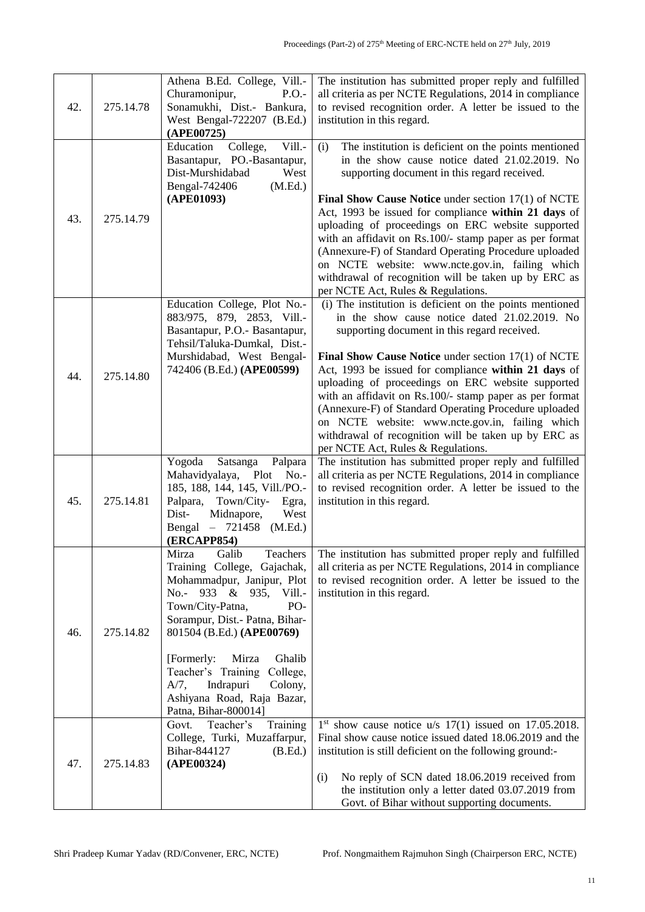| 42. | 275.14.78 | Athena B.Ed. College, Vill.-<br>Churamonipur,<br>P.O.<br>Sonamukhi, Dist.- Bankura,<br>West Bengal-722207 (B.Ed.)<br>(APE00725)                                                                                                                                                                                                                                            | The institution has submitted proper reply and fulfilled<br>all criteria as per NCTE Regulations, 2014 in compliance<br>to revised recognition order. A letter be issued to the<br>institution in this regard.                                                                                                                                                                                                                                                                                                                                                                                                 |
|-----|-----------|----------------------------------------------------------------------------------------------------------------------------------------------------------------------------------------------------------------------------------------------------------------------------------------------------------------------------------------------------------------------------|----------------------------------------------------------------------------------------------------------------------------------------------------------------------------------------------------------------------------------------------------------------------------------------------------------------------------------------------------------------------------------------------------------------------------------------------------------------------------------------------------------------------------------------------------------------------------------------------------------------|
| 43. | 275.14.79 | Vill.-<br>Education<br>College,<br>Basantapur, PO.-Basantapur,<br>Dist-Murshidabad<br>West<br>(M.Ed.)<br>Bengal-742406<br>(APE01093)                                                                                                                                                                                                                                       | The institution is deficient on the points mentioned<br>(i)<br>in the show cause notice dated 21.02.2019. No<br>supporting document in this regard received.<br><b>Final Show Cause Notice</b> under section $17(1)$ of NCTE<br>Act, 1993 be issued for compliance within 21 days of<br>uploading of proceedings on ERC website supported<br>with an affidavit on Rs.100/- stamp paper as per format<br>(Annexure-F) of Standard Operating Procedure uploaded<br>on NCTE website: www.ncte.gov.in, failing which<br>withdrawal of recognition will be taken up by ERC as<br>per NCTE Act, Rules & Regulations. |
| 44. | 275.14.80 | Education College, Plot No.-<br>883/975, 879, 2853, Vill.-<br>Basantapur, P.O.- Basantapur,<br>Tehsil/Taluka-Dumkal, Dist.-<br>Murshidabad, West Bengal-<br>742406 (B.Ed.) (APE00599)                                                                                                                                                                                      | (i) The institution is deficient on the points mentioned<br>in the show cause notice dated 21.02.2019. No<br>supporting document in this regard received.<br><b>Final Show Cause Notice</b> under section $17(1)$ of NCTE<br>Act, 1993 be issued for compliance within 21 days of<br>uploading of proceedings on ERC website supported<br>with an affidavit on Rs.100/- stamp paper as per format<br>(Annexure-F) of Standard Operating Procedure uploaded<br>on NCTE website: www.ncte.gov.in, failing which<br>withdrawal of recognition will be taken up by ERC as<br>per NCTE Act, Rules & Regulations.    |
| 45. | 275.14.81 | Yogoda<br>Satsanga<br>Palpara<br>Mahavidyalaya,<br>Plot<br>$No. -$<br>185, 188, 144, 145, Vill./PO.-<br>Palpara,<br>Town/City-<br>Egra,<br>Dist-<br>West<br>Midnapore,<br>Bengal<br>$-721458$<br>(M.Ed.)<br>(ERCAPP854)                                                                                                                                                    | The institution has submitted proper reply and fulfilled<br>all criteria as per NCTE Regulations, 2014 in compliance<br>to revised recognition order. A letter be issued to the<br>institution in this regard.                                                                                                                                                                                                                                                                                                                                                                                                 |
| 46. | 275.14.82 | Teachers<br>Mirza<br>Galib<br>Training College, Gajachak,<br>Mohammadpur, Janipur, Plot<br>No.- 933 & 935,<br>Vill.-<br>PO-<br>Town/City-Patna,<br>Sorampur, Dist.- Patna, Bihar-<br>801504 (B.Ed.) (APE00769)<br>[Formerly:<br>Mirza<br>Ghalib<br>Teacher's Training<br>College,<br>Indrapuri<br>Colony,<br>$A/7$ ,<br>Ashiyana Road, Raja Bazar,<br>Patna, Bihar-800014] | The institution has submitted proper reply and fulfilled<br>all criteria as per NCTE Regulations, 2014 in compliance<br>to revised recognition order. A letter be issued to the<br>institution in this regard.                                                                                                                                                                                                                                                                                                                                                                                                 |
| 47. | 275.14.83 | Teacher's<br>Training<br>Govt.<br>College, Turki, Muzaffarpur,<br>Bihar-844127<br>(B.Ed.)<br>(APE00324)                                                                                                                                                                                                                                                                    | $1st$ show cause notice u/s $17(1)$ issued on $17.05.2018$ .<br>Final show cause notice issued dated 18.06.2019 and the<br>institution is still deficient on the following ground:-<br>No reply of SCN dated 18.06.2019 received from<br>(i)<br>the institution only a letter dated 03.07.2019 from<br>Govt. of Bihar without supporting documents.                                                                                                                                                                                                                                                            |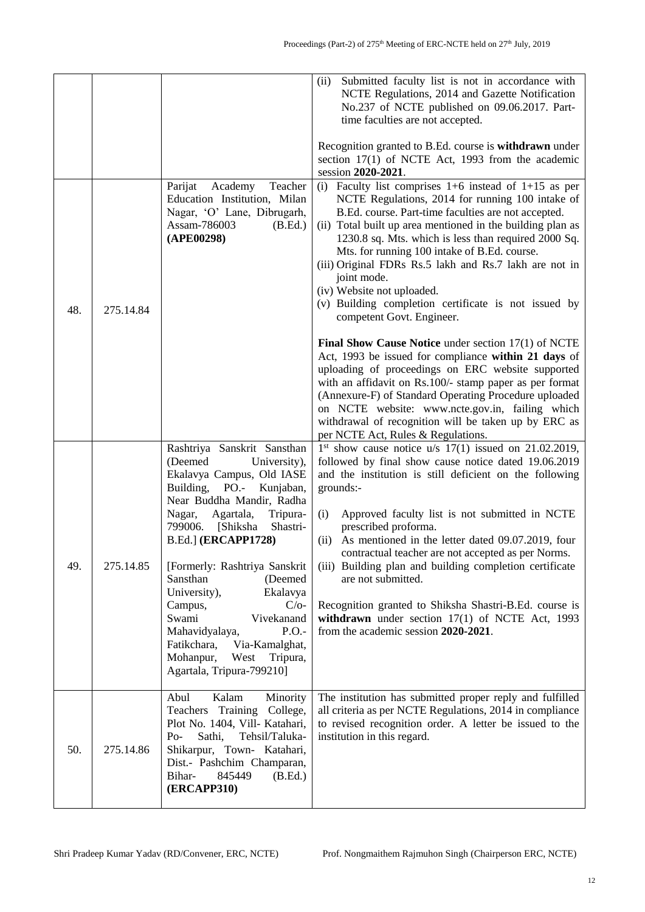|     |           |                                                                                                                                                                                                                                                                                                                                                                                                                                                                                                              | Submitted faculty list is not in accordance with<br>(ii)<br>NCTE Regulations, 2014 and Gazette Notification<br>No.237 of NCTE published on 09.06.2017. Part-<br>time faculties are not accepted.<br>Recognition granted to B.Ed. course is withdrawn under<br>section $17(1)$ of NCTE Act, 1993 from the academic<br>session 2020-2021.                                                                                                                                                                                                                                                                                               |
|-----|-----------|--------------------------------------------------------------------------------------------------------------------------------------------------------------------------------------------------------------------------------------------------------------------------------------------------------------------------------------------------------------------------------------------------------------------------------------------------------------------------------------------------------------|---------------------------------------------------------------------------------------------------------------------------------------------------------------------------------------------------------------------------------------------------------------------------------------------------------------------------------------------------------------------------------------------------------------------------------------------------------------------------------------------------------------------------------------------------------------------------------------------------------------------------------------|
| 48. | 275.14.84 | Parijat<br>Academy<br>Teacher<br>Education Institution, Milan<br>Nagar, 'O' Lane, Dibrugarh,<br>Assam-786003<br>(B.Ed.)<br>(APE00298)                                                                                                                                                                                                                                                                                                                                                                        | (i) Faculty list comprises $1+6$ instead of $1+15$ as per<br>NCTE Regulations, 2014 for running 100 intake of<br>B.Ed. course. Part-time faculties are not accepted.<br>(ii) Total built up area mentioned in the building plan as<br>1230.8 sq. Mts. which is less than required 2000 Sq.<br>Mts. for running 100 intake of B.Ed. course.<br>(iii) Original FDRs Rs.5 lakh and Rs.7 lakh are not in<br>joint mode.<br>(iv) Website not uploaded.<br>(v) Building completion certificate is not issued by<br>competent Govt. Engineer.                                                                                                |
|     |           |                                                                                                                                                                                                                                                                                                                                                                                                                                                                                                              | Final Show Cause Notice under section 17(1) of NCTE<br>Act, 1993 be issued for compliance within 21 days of<br>uploading of proceedings on ERC website supported<br>with an affidavit on Rs.100/- stamp paper as per format<br>(Annexure-F) of Standard Operating Procedure uploaded<br>on NCTE website: www.ncte.gov.in, failing which<br>withdrawal of recognition will be taken up by ERC as<br>per NCTE Act, Rules & Regulations.                                                                                                                                                                                                 |
| 49. | 275.14.85 | Rashtriya Sanskrit Sansthan<br>(Deemed<br>University),<br>Ekalavya Campus, Old IASE<br>Building, PO.-<br>Kunjaban,<br>Near Buddha Mandir, Radha<br>Nagar,<br>Agartala,<br>Tripura-<br>799006.<br>[Shiksha<br>Shastri-<br><b>B.Ed.] (ERCAPP1728)</b><br>[Formerly: Rashtriya Sanskrit<br>Sansthan<br>(Deemed<br>Ekalavya<br>University),<br>Campus,<br>$C/O-$<br>Swami<br>Vivekanand<br>P.O.<br>Mahavidyalaya,<br>Fatikchara,<br>Via-Kamalghat,<br>Tripura,<br>Mohanpur,<br>West<br>Agartala, Tripura-799210] | $1st$ show cause notice u/s $17(1)$ issued on 21.02.2019,<br>followed by final show cause notice dated 19.06.2019<br>and the institution is still deficient on the following<br>grounds:-<br>Approved faculty list is not submitted in NCTE<br>(i)<br>prescribed proforma.<br>As mentioned in the letter dated 09.07.2019, four<br>(ii)<br>contractual teacher are not accepted as per Norms.<br>(iii) Building plan and building completion certificate<br>are not submitted.<br>Recognition granted to Shiksha Shastri-B.Ed. course is<br>withdrawn under section $17(1)$ of NCTE Act, 1993<br>from the academic session 2020-2021. |
| 50. | 275.14.86 | Abul<br>Kalam<br>Minority<br>Teachers<br>Training College,<br>Plot No. 1404, Vill- Katahari,<br>Sathi,<br>Tehsil/Taluka-<br>$Po-$<br>Shikarpur, Town- Katahari,<br>Dist.- Pashchim Champaran,<br>Bihar-<br>845449<br>(B.Ed.)<br><b>(ERCAPP310)</b>                                                                                                                                                                                                                                                           | The institution has submitted proper reply and fulfilled<br>all criteria as per NCTE Regulations, 2014 in compliance<br>to revised recognition order. A letter be issued to the<br>institution in this regard.                                                                                                                                                                                                                                                                                                                                                                                                                        |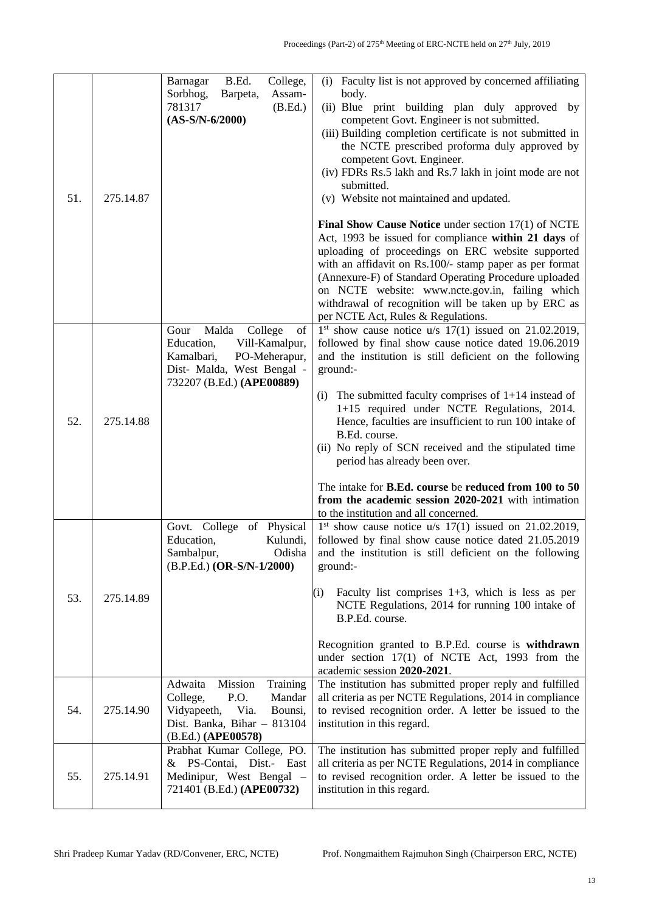| 51. | 275.14.87 | B.Ed.<br>College,<br>Barnagar<br>Assam-<br>Sorbhog,<br>Barpeta,<br>781317<br>(B.Ed.)<br>$(AS-S/N-6/2000)$                                                | (i) Faculty list is not approved by concerned affiliating<br>body.<br>(ii) Blue print building plan duly approved by<br>competent Govt. Engineer is not submitted.<br>(iii) Building completion certificate is not submitted in<br>the NCTE prescribed proforma duly approved by<br>competent Govt. Engineer.<br>(iv) FDRs Rs.5 lakh and Rs.7 lakh in joint mode are not<br>submitted.<br>(v) Website not maintained and updated.<br>Final Show Cause Notice under section 17(1) of NCTE<br>Act, 1993 be issued for compliance within 21 days of<br>uploading of proceedings on ERC website supported<br>with an affidavit on Rs.100/- stamp paper as per format<br>(Annexure-F) of Standard Operating Procedure uploaded<br>on NCTE website: www.ncte.gov.in, failing which<br>withdrawal of recognition will be taken up by ERC as<br>per NCTE Act, Rules & Regulations. |
|-----|-----------|----------------------------------------------------------------------------------------------------------------------------------------------------------|----------------------------------------------------------------------------------------------------------------------------------------------------------------------------------------------------------------------------------------------------------------------------------------------------------------------------------------------------------------------------------------------------------------------------------------------------------------------------------------------------------------------------------------------------------------------------------------------------------------------------------------------------------------------------------------------------------------------------------------------------------------------------------------------------------------------------------------------------------------------------|
| 52. | 275.14.88 | Malda<br>College<br>Gour<br>of<br>Education,<br>Vill-Kamalpur,<br>Kamalbari,<br>PO-Meherapur,<br>Dist- Malda, West Bengal -<br>732207 (B.Ed.) (APE00889) | $1st$ show cause notice u/s $17(1)$ issued on 21.02.2019,<br>followed by final show cause notice dated 19.06.2019<br>and the institution is still deficient on the following<br>ground:-<br>(i) The submitted faculty comprises of $1+14$ instead of<br>1+15 required under NCTE Regulations, 2014.<br>Hence, faculties are insufficient to run 100 intake of<br>B.Ed. course.<br>(ii) No reply of SCN received and the stipulated time<br>period has already been over.<br>The intake for B.Ed. course be reduced from 100 to 50<br>from the academic session 2020-2021 with intimation<br>to the institution and all concerned.                                                                                                                                                                                                                                          |
| 53. | 275.14.89 | of Physical<br>Govt. College<br>Education,<br>Kulundi,<br>Sambalpur,<br>Odisha<br>(B.P.Ed.) (OR-S/N-1/2000)                                              | $1st$ show cause notice u/s $17(1)$ issued on 21.02.2019,<br>followed by final show cause notice dated 21.05.2019<br>and the institution is still deficient on the following<br>ground:-<br>(i)<br>Faculty list comprises $1+3$ , which is less as per<br>NCTE Regulations, 2014 for running 100 intake of<br>B.P.Ed. course.<br>Recognition granted to B.P.Ed. course is withdrawn<br>under section 17(1) of NCTE Act, 1993 from the<br>academic session 2020-2021.                                                                                                                                                                                                                                                                                                                                                                                                       |
| 54. | 275.14.90 | Adwaita<br>Mission<br>Training<br>P.O.<br>College,<br>Mandar<br>Vidyapeeth,<br>Via.<br>Bounsi,<br>Dist. Banka, Bihar - 813104<br>(B.Ed.) (APE00578)      | The institution has submitted proper reply and fulfilled<br>all criteria as per NCTE Regulations, 2014 in compliance<br>to revised recognition order. A letter be issued to the<br>institution in this regard.                                                                                                                                                                                                                                                                                                                                                                                                                                                                                                                                                                                                                                                             |
| 55. | 275.14.91 | Prabhat Kumar College, PO.<br>PS-Contai, Dist.- East<br>&<br>Medinipur, West Bengal -<br>721401 (B.Ed.) (APE00732)                                       | The institution has submitted proper reply and fulfilled<br>all criteria as per NCTE Regulations, 2014 in compliance<br>to revised recognition order. A letter be issued to the<br>institution in this regard.                                                                                                                                                                                                                                                                                                                                                                                                                                                                                                                                                                                                                                                             |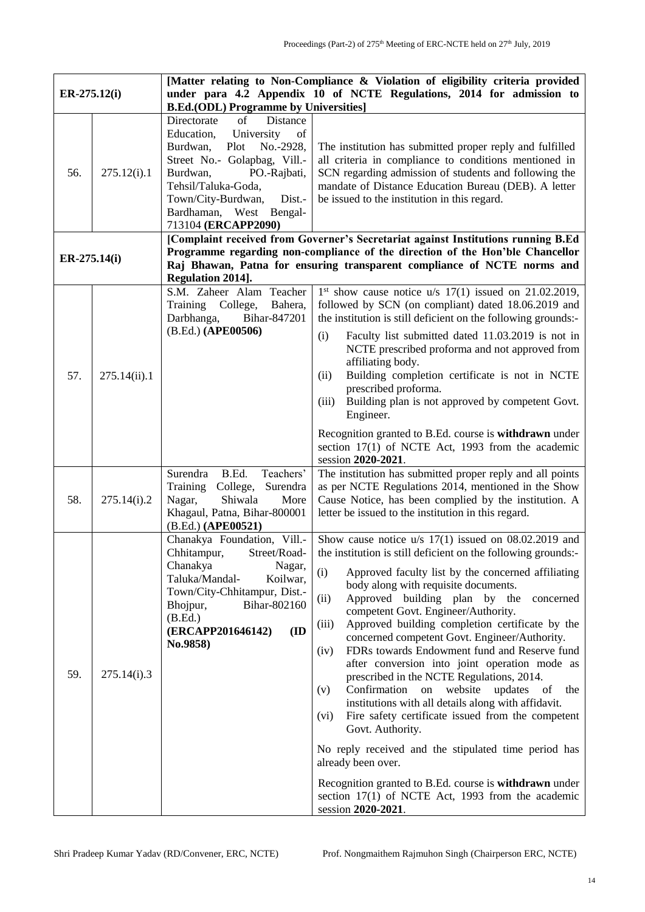| $ER-275.12(i)$ |              | [Matter relating to Non-Compliance & Violation of eligibility criteria provided<br>under para 4.2 Appendix 10 of NCTE Regulations, 2014 for admission to                                                                                                                  |                                                                                                                                                                                                                                                                                                                                                                                                                                                                                                                                                                                                                                                                                                                                                                                                                                                                                                                                                                                                                           |
|----------------|--------------|---------------------------------------------------------------------------------------------------------------------------------------------------------------------------------------------------------------------------------------------------------------------------|---------------------------------------------------------------------------------------------------------------------------------------------------------------------------------------------------------------------------------------------------------------------------------------------------------------------------------------------------------------------------------------------------------------------------------------------------------------------------------------------------------------------------------------------------------------------------------------------------------------------------------------------------------------------------------------------------------------------------------------------------------------------------------------------------------------------------------------------------------------------------------------------------------------------------------------------------------------------------------------------------------------------------|
|                |              | <b>B.Ed.(ODL) Programme by Universities]</b>                                                                                                                                                                                                                              |                                                                                                                                                                                                                                                                                                                                                                                                                                                                                                                                                                                                                                                                                                                                                                                                                                                                                                                                                                                                                           |
| 56.            | 275.12(i).1  | Directorate<br>Distance<br>of<br>Education,<br>University<br>of<br>Burdwan,<br>Plot<br>No.-2928,<br>Street No.- Golapbag, Vill.-<br>Burdwan,<br>PO.-Rajbati,<br>Tehsil/Taluka-Goda,<br>Town/City-Burdwan,<br>Dist.-<br>Bardhaman, West Bengal-<br>713104 (ERCAPP2090)     | The institution has submitted proper reply and fulfilled<br>all criteria in compliance to conditions mentioned in<br>SCN regarding admission of students and following the<br>mandate of Distance Education Bureau (DEB). A letter<br>be issued to the institution in this regard.                                                                                                                                                                                                                                                                                                                                                                                                                                                                                                                                                                                                                                                                                                                                        |
| ER-275.14(i)   |              | [Complaint received from Governer's Secretariat against Institutions running B.Ed<br>Programme regarding non-compliance of the direction of the Hon'ble Chancellor<br>Raj Bhawan, Patna for ensuring transparent compliance of NCTE norms and<br><b>Regulation 2014].</b> |                                                                                                                                                                                                                                                                                                                                                                                                                                                                                                                                                                                                                                                                                                                                                                                                                                                                                                                                                                                                                           |
| 57.            | 275.14(ii).1 | S.M. Zaheer Alam Teacher<br>Training College,<br>Bahera,<br>Darbhanga,<br>Bihar-847201<br>(B.Ed.) (APE00506)                                                                                                                                                              | $1st$ show cause notice u/s $17(1)$ issued on 21.02.2019,<br>followed by SCN (on compliant) dated 18.06.2019 and<br>the institution is still deficient on the following grounds:-<br>Faculty list submitted dated 11.03.2019 is not in<br>(i)<br>NCTE prescribed proforma and not approved from<br>affiliating body.<br>Building completion certificate is not in NCTE<br>(ii)<br>prescribed proforma.<br>Building plan is not approved by competent Govt.<br>(iii)<br>Engineer.<br>Recognition granted to B.Ed. course is withdrawn under<br>section 17(1) of NCTE Act, 1993 from the academic<br>session 2020-2021.                                                                                                                                                                                                                                                                                                                                                                                                     |
| 58.            | 275.14(i).2  | B.Ed.<br>Teachers'<br>Surendra<br>Surendra<br>Training<br>College,<br>Shiwala<br>Nagar,<br>More<br>Khagaul, Patna, Bihar-800001<br>(B.Ed.) (APE00521)                                                                                                                     | The institution has submitted proper reply and all points<br>as per NCTE Regulations 2014, mentioned in the Show<br>Cause Notice, has been complied by the institution. A<br>letter be issued to the institution in this regard.                                                                                                                                                                                                                                                                                                                                                                                                                                                                                                                                                                                                                                                                                                                                                                                          |
| 59.            | 275.14(i).3  | Chanakya Foundation, Vill.-<br>Chhitampur,<br>Street/Road-<br>Chanakya<br>Nagar,<br>Taluka/Mandal-<br>Koilwar,<br>Town/City-Chhitampur, Dist.-<br>Bihar-802160<br>Bhojpur,<br>(B.Ed.)<br>(ERCAPP201646142)<br>(ID<br>No.9858)                                             | Show cause notice $u/s$ 17(1) issued on 08.02.2019 and<br>the institution is still deficient on the following grounds:-<br>(i)<br>Approved faculty list by the concerned affiliating<br>body along with requisite documents.<br>Approved building plan by the<br>(ii)<br>concerned<br>competent Govt. Engineer/Authority.<br>Approved building completion certificate by the<br>(iii)<br>concerned competent Govt. Engineer/Authority.<br>FDRs towards Endowment fund and Reserve fund<br>(iv)<br>after conversion into joint operation mode as<br>prescribed in the NCTE Regulations, 2014.<br>Confirmation<br>website<br>updates<br>(v)<br>on<br>of<br>the<br>institutions with all details along with affidavit.<br>Fire safety certificate issued from the competent<br>(vi)<br>Govt. Authority.<br>No reply received and the stipulated time period has<br>already been over.<br>Recognition granted to B.Ed. course is withdrawn under<br>section $17(1)$ of NCTE Act, 1993 from the academic<br>session 2020-2021. |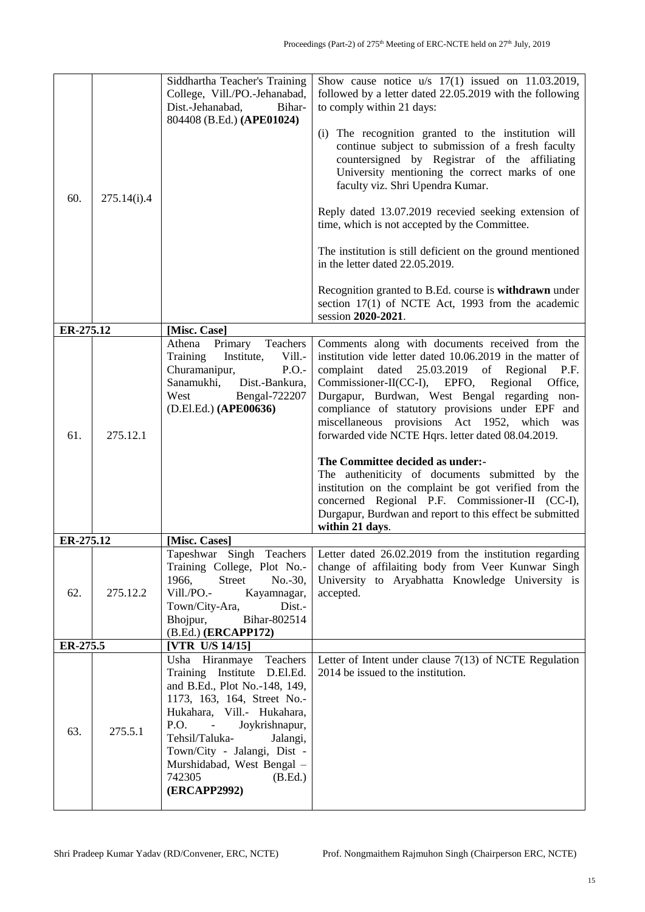| 60.       | 275.14(i).4 | Siddhartha Teacher's Training<br>College, Vill./PO.-Jehanabad,<br>Dist.-Jehanabad,<br>Bihar-<br>804408 (B.Ed.) (APE01024)                                                                                                                                                                                                       | Show cause notice $u/s$ 17(1) issued on 11.03.2019,<br>followed by a letter dated 22.05.2019 with the following<br>to comply within 21 days:<br>(i) The recognition granted to the institution will<br>continue subject to submission of a fresh faculty<br>countersigned by Registrar of the affiliating<br>University mentioning the correct marks of one<br>faculty viz. Shri Upendra Kumar.<br>Reply dated 13.07.2019 recevied seeking extension of<br>time, which is not accepted by the Committee.<br>The institution is still deficient on the ground mentioned<br>in the letter dated 22.05.2019.<br>Recognition granted to B.Ed. course is withdrawn under<br>section 17(1) of NCTE Act, 1993 from the academic<br>session 2020-2021. |
|-----------|-------------|---------------------------------------------------------------------------------------------------------------------------------------------------------------------------------------------------------------------------------------------------------------------------------------------------------------------------------|------------------------------------------------------------------------------------------------------------------------------------------------------------------------------------------------------------------------------------------------------------------------------------------------------------------------------------------------------------------------------------------------------------------------------------------------------------------------------------------------------------------------------------------------------------------------------------------------------------------------------------------------------------------------------------------------------------------------------------------------|
| ER-275.12 |             | [Misc. Case]                                                                                                                                                                                                                                                                                                                    |                                                                                                                                                                                                                                                                                                                                                                                                                                                                                                                                                                                                                                                                                                                                                |
| 61.       | 275.12.1    | Primary Teachers<br>Athena<br>Training<br>Institute,<br>Vill.-<br>Churamanipur,<br>P.O.<br>Sanamukhi, Dist.-Bankura,<br>West Bengal-722207<br>(D.El.Ed.) (APE00636)                                                                                                                                                             | Comments along with documents received from the<br>institution vide letter dated 10.06.2019 in the matter of<br>complaint<br>dated 25.03.2019 of Regional<br>P.F.<br>Commissioner-II(CC-I), EPFO, Regional<br>Office,<br>Durgapur, Burdwan, West Bengal regarding non-<br>compliance of statutory provisions under EPF and<br>miscellaneous provisions Act 1952, which<br>was<br>forwarded vide NCTE Hqrs. letter dated 08.04.2019.<br>The Committee decided as under:-<br>The autheniticity of documents submitted by the<br>institution on the complaint be got verified from the<br>concerned Regional P.F. Commissioner-II (CC-I),<br>Durgapur, Burdwan and report to this effect be submitted<br>within 21 days.                          |
| ER-275.12 |             | [Misc. Cases]                                                                                                                                                                                                                                                                                                                   |                                                                                                                                                                                                                                                                                                                                                                                                                                                                                                                                                                                                                                                                                                                                                |
| 62.       | 275.12.2    | Training College, Plot No.-<br>1966,<br>Street<br>$No.-30,$<br>Vill./PO.-<br>Kayamnagar,<br>Dist.-<br>Town/City-Ara,<br>Bhojpur,<br>Bihar-802514<br>(B.Ed.) (ERCAPP172)                                                                                                                                                         | Tapeshwar Singh Teachers   Letter dated 26.02.2019 from the institution regarding<br>change of affilaiting body from Veer Kunwar Singh<br>University to Aryabhatta Knowledge University is<br>accepted.                                                                                                                                                                                                                                                                                                                                                                                                                                                                                                                                        |
| ER-275.5  |             | [VTR U/S 14/15]                                                                                                                                                                                                                                                                                                                 |                                                                                                                                                                                                                                                                                                                                                                                                                                                                                                                                                                                                                                                                                                                                                |
| 63.       | 275.5.1     | Usha Hiranmaye<br>Teachers<br>Training Institute D.El.Ed.<br>and B.Ed., Plot No.-148, 149,<br>1173, 163, 164, Street No.-<br>Hukahara, Vill.- Hukahara,<br>P.O.<br>Joykrishnapur,<br>$\sim$ $-$<br>Tehsil/Taluka-<br>Jalangi,<br>Town/City - Jalangi, Dist -<br>Murshidabad, West Bengal -<br>742305<br>(B.Ed.)<br>(ERCAPP2992) | Letter of Intent under clause $7(13)$ of NCTE Regulation<br>2014 be issued to the institution.                                                                                                                                                                                                                                                                                                                                                                                                                                                                                                                                                                                                                                                 |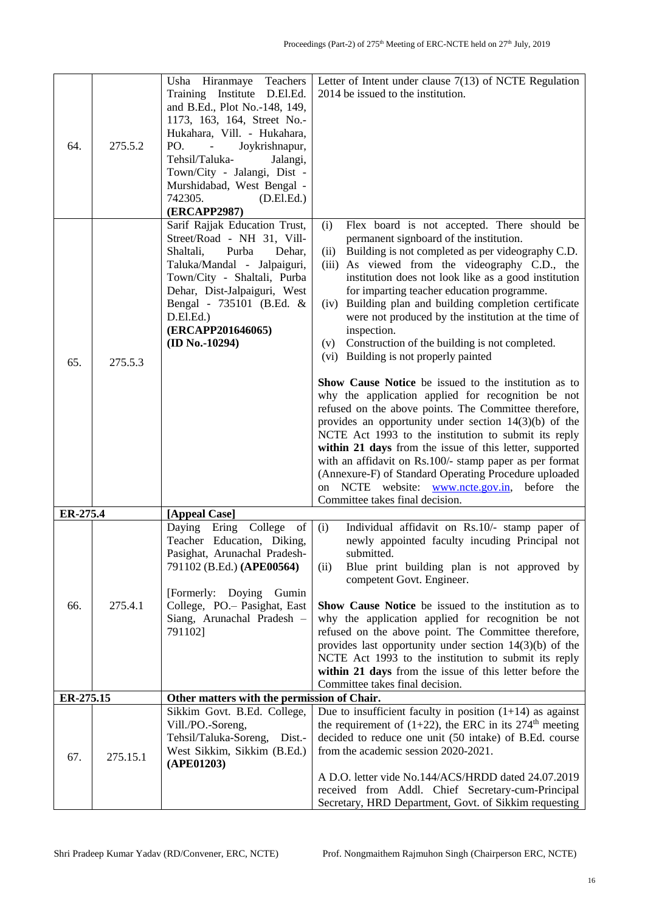| 64.       | 275.5.2  | Usha Hiranmaye Teachers<br>Training Institute D.El.Ed.<br>and B.Ed., Plot No.-148, 149,<br>1173, 163, 164, Street No.-<br>Hukahara, Vill. - Hukahara,<br>PO.<br>Joykrishnapur,<br>$\sim 10^{-11}$<br>Tehsil/Taluka-<br>Jalangi,<br>Town/City - Jalangi, Dist -<br>Murshidabad, West Bengal -<br>742305.<br>(D.El.Ed.)<br>(ERCAPP2987) | Letter of Intent under clause $7(13)$ of NCTE Regulation<br>2014 be issued to the institution.                                                                                                                                                                                                                                                                                                                                                                                                                                                                                                                                                                                                                                                                                                                                                                                                                                                                                                                                                                                                                          |
|-----------|----------|---------------------------------------------------------------------------------------------------------------------------------------------------------------------------------------------------------------------------------------------------------------------------------------------------------------------------------------|-------------------------------------------------------------------------------------------------------------------------------------------------------------------------------------------------------------------------------------------------------------------------------------------------------------------------------------------------------------------------------------------------------------------------------------------------------------------------------------------------------------------------------------------------------------------------------------------------------------------------------------------------------------------------------------------------------------------------------------------------------------------------------------------------------------------------------------------------------------------------------------------------------------------------------------------------------------------------------------------------------------------------------------------------------------------------------------------------------------------------|
| 65.       | 275.5.3  | Sarif Rajjak Education Trust,<br>Street/Road - NH 31, Vill-<br>Shaltali,<br>Purba<br>Dehar,<br>Taluka/Mandal - Jalpaiguri,<br>Town/City - Shaltali, Purba<br>Dehar, Dist-Jalpaiguri, West<br>Bengal - 735101 (B.Ed. &<br>D.E1.Ed.)<br>(ERCAPP201646065)<br>$(ID No.-10294)$                                                           | Flex board is not accepted. There should be<br>(i)<br>permanent signboard of the institution.<br>Building is not completed as per videography C.D.<br>(ii)<br>As viewed from the videography C.D., the<br>(iii)<br>institution does not look like as a good institution<br>for imparting teacher education programme.<br>(iv) Building plan and building completion certificate<br>were not produced by the institution at the time of<br>inspection.<br>(v) Construction of the building is not completed.<br>(vi) Building is not properly painted<br><b>Show Cause Notice</b> be issued to the institution as to<br>why the application applied for recognition be not<br>refused on the above points. The Committee therefore,<br>provides an opportunity under section $14(3)(b)$ of the<br>NCTE Act 1993 to the institution to submit its reply<br>within 21 days from the issue of this letter, supported<br>with an affidavit on Rs.100/- stamp paper as per format<br>(Annexure-F) of Standard Operating Procedure uploaded<br>on NCTE website: www.ncte.gov.in, before the<br>Committee takes final decision. |
| ER-275.4  |          | [Appeal Case]                                                                                                                                                                                                                                                                                                                         |                                                                                                                                                                                                                                                                                                                                                                                                                                                                                                                                                                                                                                                                                                                                                                                                                                                                                                                                                                                                                                                                                                                         |
| 66.       | 275.4.1  | Daying<br>Ering College<br>of<br>Teacher Education, Diking,<br>Pasighat, Arunachal Pradesh-<br>791102 (B.Ed.) (APE00564)<br>[Formerly: Doying Gumin]<br>College, PO. - Pasighat, East<br>Siang, Arunachal Pradesh -<br>791102]                                                                                                        | (i)<br>Individual affidavit on Rs.10/- stamp paper of<br>newly appointed faculty incuding Principal not<br>submitted.<br>Blue print building plan is not approved by<br>(ii)<br>competent Govt. Engineer.<br>Show Cause Notice be issued to the institution as to<br>why the application applied for recognition be not<br>refused on the above point. The Committee therefore,<br>provides last opportunity under section 14(3)(b) of the<br>NCTE Act 1993 to the institution to submit its reply<br>within 21 days from the issue of this letter before the<br>Committee takes final decision.                                                                                                                                                                                                                                                                                                                                                                                                                                                                                                                        |
| ER-275.15 |          | Other matters with the permission of Chair.                                                                                                                                                                                                                                                                                           |                                                                                                                                                                                                                                                                                                                                                                                                                                                                                                                                                                                                                                                                                                                                                                                                                                                                                                                                                                                                                                                                                                                         |
| 67.       | 275.15.1 | Sikkim Govt. B.Ed. College,<br>Vill./PO.-Soreng,<br>Tehsil/Taluka-Soreng, Dist.-<br>West Sikkim, Sikkim (B.Ed.)<br>(APE01203)                                                                                                                                                                                                         | Due to insufficient faculty in position $(1+14)$ as against<br>the requirement of $(1+22)$ , the ERC in its 274 <sup>th</sup> meeting<br>decided to reduce one unit (50 intake) of B.Ed. course<br>from the academic session 2020-2021.<br>A D.O. letter vide No.144/ACS/HRDD dated 24.07.2019<br>received from Addl. Chief Secretary-cum-Principal<br>Secretary, HRD Department, Govt. of Sikkim requesting                                                                                                                                                                                                                                                                                                                                                                                                                                                                                                                                                                                                                                                                                                            |